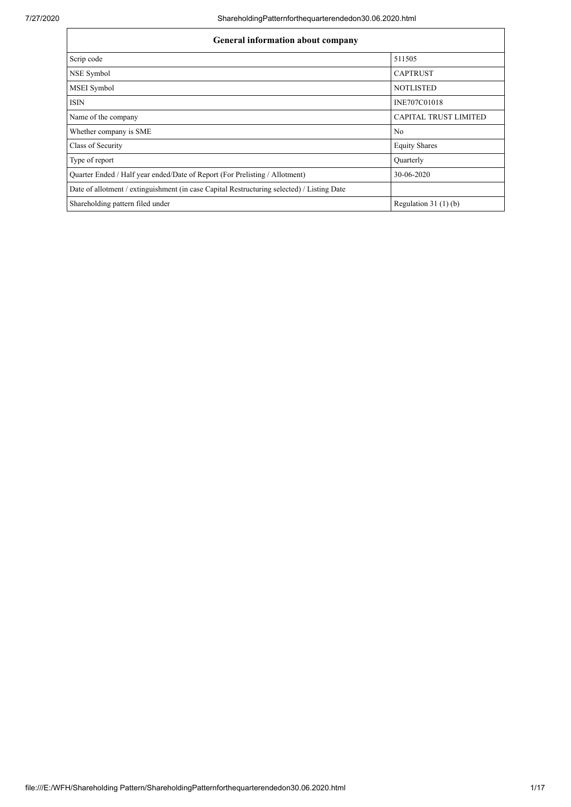| <b>General information about company</b>                                                   |                              |  |  |  |  |
|--------------------------------------------------------------------------------------------|------------------------------|--|--|--|--|
| Scrip code                                                                                 | 511505                       |  |  |  |  |
| NSE Symbol                                                                                 | <b>CAPTRUST</b>              |  |  |  |  |
| MSEI Symbol                                                                                | <b>NOTLISTED</b>             |  |  |  |  |
| <b>ISIN</b>                                                                                | INE707C01018                 |  |  |  |  |
| Name of the company                                                                        | <b>CAPITAL TRUST LIMITED</b> |  |  |  |  |
| Whether company is SME                                                                     | No                           |  |  |  |  |
| Class of Security                                                                          | <b>Equity Shares</b>         |  |  |  |  |
| Type of report                                                                             | Quarterly                    |  |  |  |  |
| Quarter Ended / Half year ended/Date of Report (For Prelisting / Allotment)                | 30-06-2020                   |  |  |  |  |
| Date of allotment / extinguishment (in case Capital Restructuring selected) / Listing Date |                              |  |  |  |  |
| Shareholding pattern filed under                                                           | Regulation $31(1)(b)$        |  |  |  |  |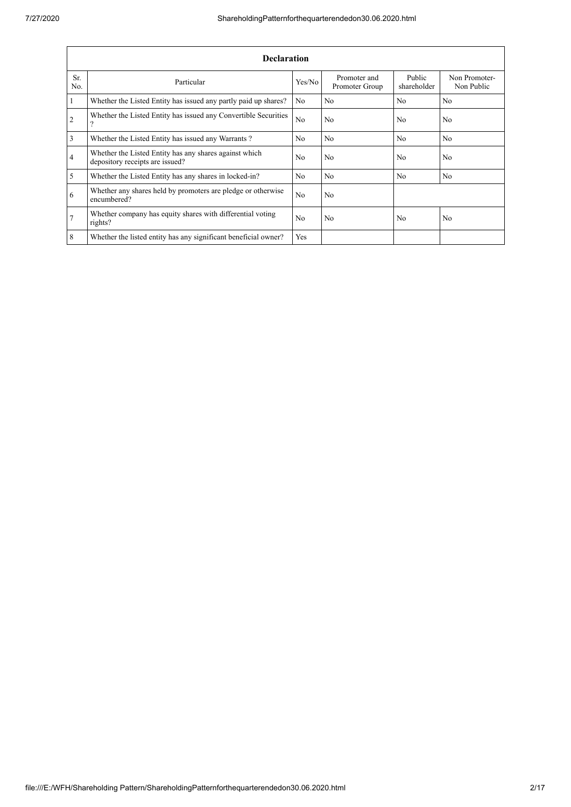|                | <b>Declaration</b>                                                                        |                |                                |                       |                             |  |  |  |  |
|----------------|-------------------------------------------------------------------------------------------|----------------|--------------------------------|-----------------------|-----------------------------|--|--|--|--|
| Sr.<br>No.     | Particular                                                                                | Yes/No         | Promoter and<br>Promoter Group | Public<br>shareholder | Non Promoter-<br>Non Public |  |  |  |  |
| 1              | Whether the Listed Entity has issued any partly paid up shares?                           | N <sub>0</sub> | N <sub>0</sub>                 | N <sub>0</sub>        | N <sub>0</sub>              |  |  |  |  |
| $\overline{2}$ | Whether the Listed Entity has issued any Convertible Securities<br>$\Omega$               | N <sub>0</sub> | N <sub>0</sub>                 | N <sub>0</sub>        | N <sub>0</sub>              |  |  |  |  |
| 3              | Whether the Listed Entity has issued any Warrants?                                        | N <sub>0</sub> | N <sub>0</sub>                 | N <sub>0</sub>        | N <sub>0</sub>              |  |  |  |  |
| $\overline{4}$ | Whether the Listed Entity has any shares against which<br>depository receipts are issued? | N <sub>0</sub> | N <sub>0</sub>                 | N <sub>0</sub>        | N <sub>0</sub>              |  |  |  |  |
| 5              | Whether the Listed Entity has any shares in locked-in?                                    | N <sub>0</sub> | N <sub>0</sub>                 | N <sub>0</sub>        | N <sub>0</sub>              |  |  |  |  |
| 6              | Whether any shares held by promoters are pledge or otherwise<br>encumbered?               | N <sub>0</sub> | N <sub>0</sub>                 |                       |                             |  |  |  |  |
| $\overline{7}$ | Whether company has equity shares with differential voting<br>rights?                     | N <sub>o</sub> | N <sub>0</sub>                 | N <sub>0</sub>        | N <sub>0</sub>              |  |  |  |  |
| 8              | Whether the listed entity has any significant beneficial owner?                           | Yes            |                                |                       |                             |  |  |  |  |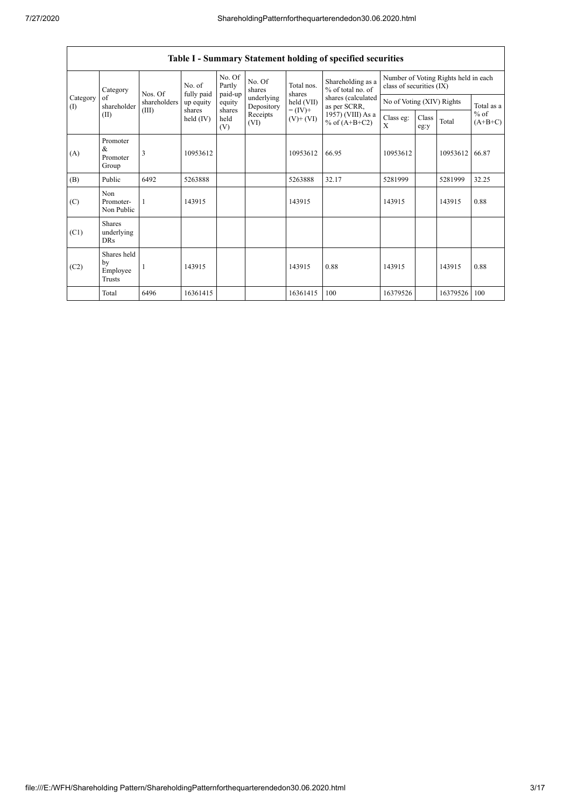$\overline{1}$ 

|                 | Table I - Summary Statement holding of specified securities |                                  |                       |                             |                          |                                        |                                                                                                                      |                                                                  |               |          |                     |
|-----------------|-------------------------------------------------------------|----------------------------------|-----------------------|-----------------------------|--------------------------|----------------------------------------|----------------------------------------------------------------------------------------------------------------------|------------------------------------------------------------------|---------------|----------|---------------------|
|                 | Category                                                    | Nos. Of<br>shareholders<br>(III) | No. of<br>fully paid  | No. Of<br>Partly<br>paid-up | No. Of<br>shares         | Total nos.<br>shares                   | Shareholding as a<br>% of total no. of<br>shares (calculated<br>as per SCRR,<br>1957) (VIII) As a<br>% of $(A+B+C2)$ | Number of Voting Rights held in each<br>class of securities (IX) |               |          |                     |
| Category<br>(1) | of<br>shareholder                                           |                                  | up equity             | equity                      | underlying<br>Depository | held (VII)<br>$= (IV) +$<br>$(V)+(VI)$ |                                                                                                                      | No of Voting (XIV) Rights                                        |               |          | Total as a          |
| (II)            |                                                             |                                  | shares<br>held $(IV)$ | shares<br>held<br>(V)       | Receipts<br>(VI)         |                                        |                                                                                                                      | Class eg:<br>X                                                   | Class<br>eg:y | Total    | $%$ of<br>$(A+B+C)$ |
| (A)             | Promoter<br>&<br>Promoter<br>Group                          | 3                                | 10953612              |                             |                          | 10953612                               | 66.95                                                                                                                | 10953612                                                         |               | 10953612 | 66.87               |
| (B)             | Public                                                      | 6492                             | 5263888               |                             |                          | 5263888                                | 32.17                                                                                                                | 5281999                                                          |               | 5281999  | 32.25               |
| (C)             | Non<br>Promoter-<br>Non Public                              | 1                                | 143915                |                             |                          | 143915                                 |                                                                                                                      | 143915                                                           |               | 143915   | 0.88                |
| (C1)            | <b>Shares</b><br>underlying<br><b>DRs</b>                   |                                  |                       |                             |                          |                                        |                                                                                                                      |                                                                  |               |          |                     |
| (C2)            | Shares held<br>by<br>Employee<br>Trusts                     |                                  | 143915                |                             |                          | 143915                                 | 0.88                                                                                                                 | 143915                                                           |               | 143915   | 0.88                |
|                 | Total                                                       | 6496                             | 16361415              |                             |                          | 16361415                               | 100                                                                                                                  | 16379526                                                         |               | 16379526 | 100                 |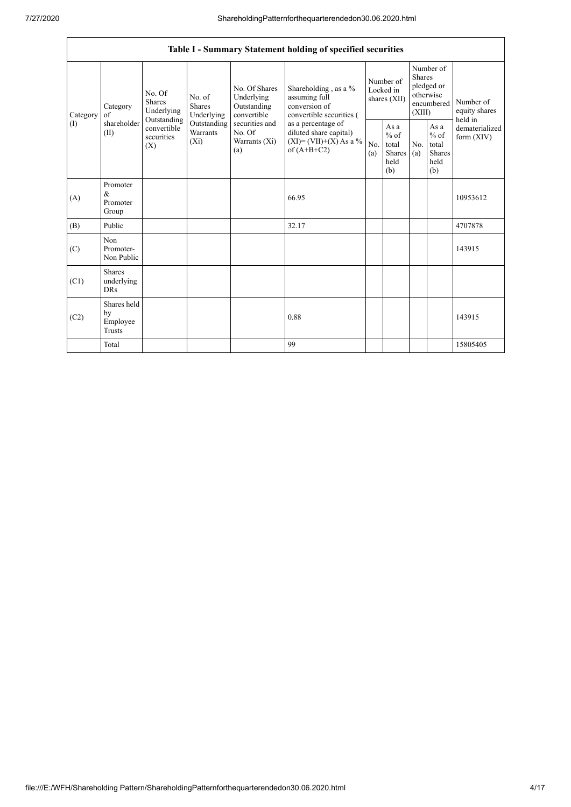|          |                                                                                                                                                                                                                                                                                                                                                                                                     |                                                     |            | Table I - Summary Statement holding of specified securities |                                        |                                                         |                                                                               |  |                                       |
|----------|-----------------------------------------------------------------------------------------------------------------------------------------------------------------------------------------------------------------------------------------------------------------------------------------------------------------------------------------------------------------------------------------------------|-----------------------------------------------------|------------|-------------------------------------------------------------|----------------------------------------|---------------------------------------------------------|-------------------------------------------------------------------------------|--|---------------------------------------|
| Category | No. Of Shares<br>No. Of<br>Underlying<br>assuming full<br>No. of<br><b>Shares</b><br>Shares<br>conversion of<br>Category<br>Outstanding<br>Underlying<br>Underlying<br>convertible<br>of<br>Outstanding<br>shareholder<br>securities and<br>Outstanding<br>as a percentage of<br>convertible<br>Warrants<br>No. Of<br>(II)<br>securities<br>Warrants (Xi)<br>$(X_i)$<br>(X)<br>of $(A+B+C2)$<br>(a) |                                                     |            | Shareholding , as a $\%$<br>convertible securities (        | Number of<br>Locked in<br>shares (XII) |                                                         | Number of<br><b>Shares</b><br>pledged or<br>otherwise<br>encumbered<br>(XIII) |  | Number of<br>equity shares<br>held in |
| (1)      |                                                                                                                                                                                                                                                                                                                                                                                                     | diluted share capital)<br>$(XI) = (VII)+(X) As a %$ | No.<br>(a) | As a<br>$%$ of<br>total<br>Shares<br>held<br>(b)            | N <sub>o</sub><br>(a)                  | As a<br>$%$ of<br>total<br><b>Shares</b><br>held<br>(b) | dematerialized<br>form $(XIV)$                                                |  |                                       |
| (A)      | Promoter<br>$\&$<br>Promoter<br>Group                                                                                                                                                                                                                                                                                                                                                               |                                                     |            | 66.95                                                       |                                        |                                                         |                                                                               |  | 10953612                              |
| (B)      | Public                                                                                                                                                                                                                                                                                                                                                                                              |                                                     |            | 32.17                                                       |                                        |                                                         |                                                                               |  | 4707878                               |
| (C)      | Non<br>Promoter-<br>Non Public                                                                                                                                                                                                                                                                                                                                                                      |                                                     |            |                                                             |                                        |                                                         |                                                                               |  | 143915                                |
| (C1)     | <b>Shares</b><br>underlying<br><b>DRs</b>                                                                                                                                                                                                                                                                                                                                                           |                                                     |            |                                                             |                                        |                                                         |                                                                               |  |                                       |
| (C2)     | Shares held<br>by<br>Employee<br>Trusts                                                                                                                                                                                                                                                                                                                                                             |                                                     |            | 0.88                                                        |                                        |                                                         |                                                                               |  | 143915                                |
|          | Total                                                                                                                                                                                                                                                                                                                                                                                               |                                                     |            | 99                                                          |                                        |                                                         |                                                                               |  | 15805405                              |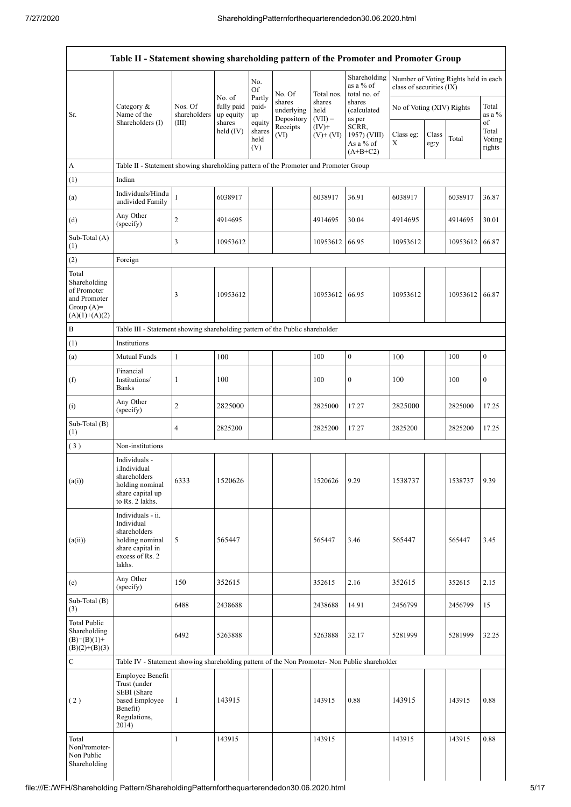|                                                                                         |                                                                                                                     |                         | No. of<br>fully paid<br>up equity<br>shares<br>held $(IV)$ | No.                             |                                              |                                           | Shareholding<br>as a % of                        | class of securities (IX)  |               | Number of Voting Rights held in each |                                 |
|-----------------------------------------------------------------------------------------|---------------------------------------------------------------------------------------------------------------------|-------------------------|------------------------------------------------------------|---------------------------------|----------------------------------------------|-------------------------------------------|--------------------------------------------------|---------------------------|---------------|--------------------------------------|---------------------------------|
| Sr.                                                                                     | Category $\&$<br>Name of the<br>Shareholders (I)                                                                    | Nos. Of<br>shareholders |                                                            | Of<br>Partly<br>paid-<br>up     | No. Of<br>shares<br>underlying<br>Depository | Total nos.<br>shares<br>held<br>$(VII) =$ | total no. of<br>shares<br>(calculated<br>as per  | No of Voting (XIV) Rights |               |                                      | Total<br>as a $%$               |
|                                                                                         |                                                                                                                     | (III)                   |                                                            | equity<br>shares<br>held<br>(V) | Receipts<br>(VI)                             | $(IV)+$<br>$(V)$ + $(VI)$                 | SCRR,<br>1957) (VIII)<br>As a % of<br>$(A+B+C2)$ | Class eg:<br>Χ            | Class<br>eg:y | Total                                | of<br>Total<br>Voting<br>rights |
| A                                                                                       | Table II - Statement showing shareholding pattern of the Promoter and Promoter Group                                |                         |                                                            |                                 |                                              |                                           |                                                  |                           |               |                                      |                                 |
| (1)                                                                                     | Indian                                                                                                              |                         |                                                            |                                 |                                              |                                           |                                                  |                           |               |                                      |                                 |
| (a)                                                                                     | Individuals/Hindu<br>undivided Family                                                                               | $\mathbf{1}$            | 6038917                                                    |                                 |                                              | 6038917                                   | 36.91                                            | 6038917                   |               | 6038917                              | 36.87                           |
| (d)                                                                                     | Any Other<br>(specify)                                                                                              | $\sqrt{2}$              | 4914695                                                    |                                 |                                              | 4914695                                   | 30.04                                            | 4914695                   |               | 4914695                              | 30.01                           |
| Sub-Total (A)<br>(1)                                                                    |                                                                                                                     | $\mathfrak{Z}$          | 10953612                                                   |                                 |                                              | 10953612                                  | 66.95                                            | 10953612                  |               | 10953612                             | 66.87                           |
| (2)                                                                                     | Foreign                                                                                                             |                         |                                                            |                                 |                                              |                                           |                                                  |                           |               |                                      |                                 |
| Total<br>Shareholding<br>of Promoter<br>and Promoter<br>Group $(A)=$<br>$(A)(1)+(A)(2)$ |                                                                                                                     | 3                       | 10953612                                                   |                                 |                                              | 10953612                                  | 66.95                                            | 10953612                  |               | 10953612                             | 66.87                           |
| B                                                                                       | Table III - Statement showing shareholding pattern of the Public shareholder                                        |                         |                                                            |                                 |                                              |                                           |                                                  |                           |               |                                      |                                 |
| (1)                                                                                     | Institutions                                                                                                        |                         |                                                            |                                 |                                              |                                           |                                                  |                           |               |                                      |                                 |
| (a)                                                                                     | Mutual Funds                                                                                                        | $\mathbf{1}$            | 100                                                        |                                 |                                              | 100                                       | $\boldsymbol{0}$                                 | 100                       |               | 100                                  | $\boldsymbol{0}$                |
| (f)                                                                                     | Financial<br>Institutions/<br><b>Banks</b>                                                                          | 1                       | 100                                                        |                                 |                                              | 100                                       | $\boldsymbol{0}$                                 | 100                       |               | 100                                  | $\boldsymbol{0}$                |
| (i)                                                                                     | Any Other<br>(specify)                                                                                              | $\sqrt{2}$              | 2825000                                                    |                                 |                                              | 2825000                                   | 17.27                                            | 2825000                   |               | 2825000                              | 17.25                           |
| Sub-Total (B)<br>(1)                                                                    |                                                                                                                     | $\overline{4}$          | 2825200                                                    |                                 |                                              | 2825200                                   | 17.27                                            | 2825200                   |               | 2825200                              | 17.25                           |
| (3)                                                                                     | Non-institutions                                                                                                    |                         |                                                            |                                 |                                              |                                           |                                                  |                           |               |                                      |                                 |
| (a(i))                                                                                  | Individuals -<br>i.Individual<br>shareholders<br>holding nominal<br>share capital up<br>to Rs. 2 lakhs.             | 6333                    | 1520626                                                    |                                 |                                              | 1520626                                   | 9.29                                             | 1538737                   |               | 1538737                              | 9.39                            |
| (a(ii))                                                                                 | Individuals - ii.<br>Individual<br>shareholders<br>holding nominal<br>share capital in<br>excess of Rs. 2<br>lakhs. | 5                       | 565447                                                     |                                 |                                              | 565447                                    | 3.46                                             | 565447                    |               | 565447                               | 3.45                            |
| (e)                                                                                     | Any Other<br>(specify)                                                                                              | 150                     | 352615                                                     |                                 |                                              | 352615                                    | 2.16                                             | 352615                    |               | 352615                               | 2.15                            |
| Sub-Total (B)<br>(3)                                                                    |                                                                                                                     | 6488                    | 2438688                                                    |                                 |                                              | 2438688                                   | 14.91                                            | 2456799                   |               | 2456799                              | 15                              |
| <b>Total Public</b><br>Shareholding<br>$(B)=(B)(1)+$<br>$(B)(2)+(B)(3)$                 |                                                                                                                     | 6492                    | 5263888                                                    |                                 |                                              | 5263888                                   | 32.17                                            | 5281999                   |               | 5281999                              | 32.25                           |
| $\mathsf{C}$                                                                            | Table IV - Statement showing shareholding pattern of the Non Promoter- Non Public shareholder                       |                         |                                                            |                                 |                                              |                                           |                                                  |                           |               |                                      |                                 |
| (2)                                                                                     | Employee Benefit<br>Trust (under<br>SEBI (Share<br>based Employee<br>Benefit)<br>Regulations,<br>2014)              | $\mathbf{1}$            | 143915                                                     |                                 |                                              | 143915                                    | 0.88                                             | 143915                    |               | 143915                               | 0.88                            |
| Total<br>NonPromoter-<br>Non Public<br>Shareholding                                     |                                                                                                                     | $\mathbf{1}$            | 143915                                                     |                                 |                                              | 143915                                    |                                                  | 143915                    |               | 143915                               | 0.88                            |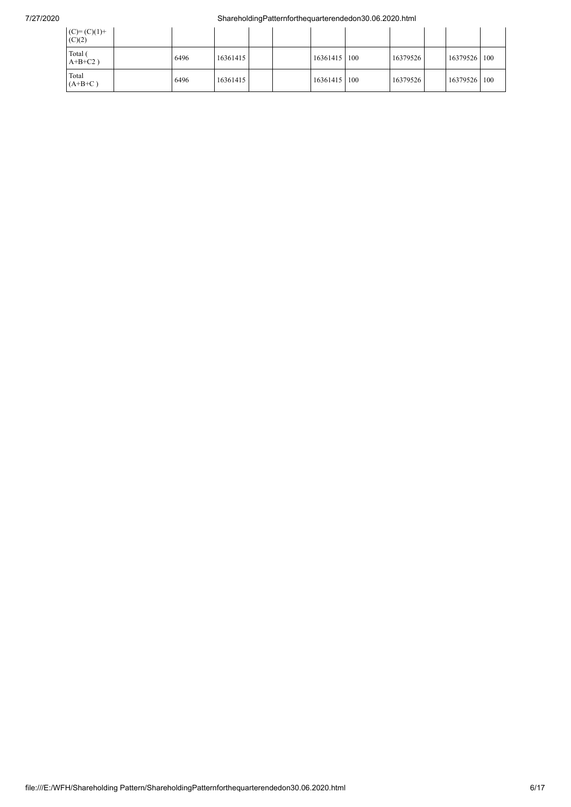## 7/27/2020 ShareholdingPatternforthequarterendedon30.06.2020.html

| $(C)= (C)(1) +$<br>(C)(2) |      |          |  |              |          |              |  |
|---------------------------|------|----------|--|--------------|----------|--------------|--|
| Total (<br>$A+B+C2$ )     | 6496 | 16361415 |  | 16361415 100 | 16379526 | 16379526 100 |  |
| Total<br>$(A+B+C)$        | 6496 | 16361415 |  | 16361415 100 | 16379526 | 16379526 100 |  |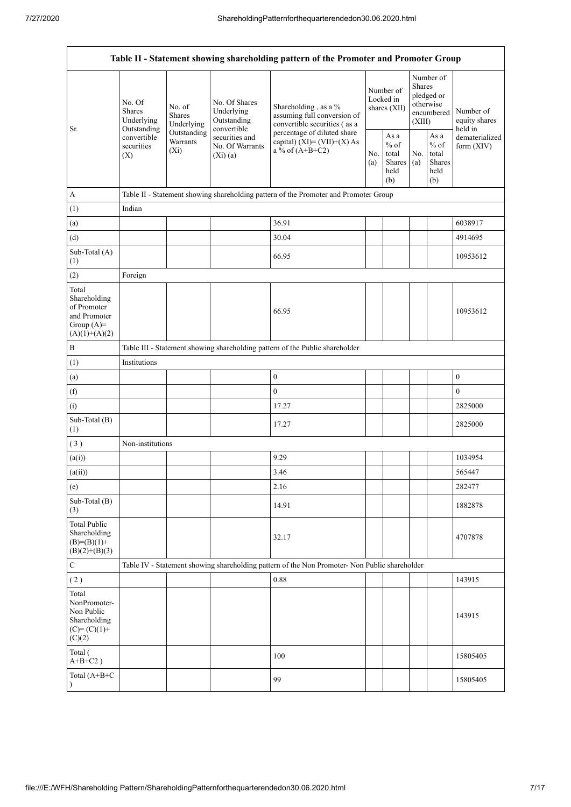| Table II - Statement showing shareholding pattern of the Promoter and Promoter Group    |                                                                                                                                                           |                                                 |                                                                                    |                                                                                               |                                                            |            |                                                                               |                                |                                       |
|-----------------------------------------------------------------------------------------|-----------------------------------------------------------------------------------------------------------------------------------------------------------|-------------------------------------------------|------------------------------------------------------------------------------------|-----------------------------------------------------------------------------------------------|------------------------------------------------------------|------------|-------------------------------------------------------------------------------|--------------------------------|---------------------------------------|
| Sr.                                                                                     | No. Of<br>No. of<br>Shares<br>Shares<br>Underlying<br>Underlying<br>Outstanding<br>Outstanding<br>convertible<br>Warrants<br>securities<br>$(X_i)$<br>(X) |                                                 | No. Of Shares<br>Underlying<br>Outstanding<br>convertible                          | Shareholding, as a %<br>assuming full conversion of<br>convertible securities (as a           | Number of<br>Locked in<br>shares (XII)                     |            | Number of<br><b>Shares</b><br>pledged or<br>otherwise<br>encumbered<br>(XIII) |                                | Number of<br>equity shares<br>held in |
|                                                                                         |                                                                                                                                                           | securities and<br>No. Of Warrants<br>$(Xi)$ (a) | percentage of diluted share<br>capital) $(XI) = (VII)+(X) As$<br>a % of $(A+B+C2)$ | No.<br>(a)                                                                                    | As $\mathbf a$<br>$%$ of<br>total<br>Shares<br>held<br>(b) | No.<br>(a) | As a<br>$%$ of<br>total<br>Shares<br>held<br>(b)                              | dematerialized<br>form $(XIV)$ |                                       |
| A                                                                                       |                                                                                                                                                           |                                                 |                                                                                    | Table II - Statement showing shareholding pattern of the Promoter and Promoter Group          |                                                            |            |                                                                               |                                |                                       |
| (1)                                                                                     | Indian                                                                                                                                                    |                                                 |                                                                                    |                                                                                               |                                                            |            |                                                                               |                                |                                       |
| (a)                                                                                     |                                                                                                                                                           |                                                 |                                                                                    | 36.91                                                                                         |                                                            |            |                                                                               |                                | 6038917                               |
| (d)                                                                                     |                                                                                                                                                           |                                                 |                                                                                    | 30.04                                                                                         |                                                            |            |                                                                               |                                | 4914695                               |
| Sub-Total (A)<br>(1)                                                                    |                                                                                                                                                           |                                                 |                                                                                    | 66.95                                                                                         |                                                            |            |                                                                               |                                | 10953612                              |
| (2)                                                                                     | Foreign                                                                                                                                                   |                                                 |                                                                                    |                                                                                               |                                                            |            |                                                                               |                                |                                       |
| Total<br>Shareholding<br>of Promoter<br>and Promoter<br>Group $(A)=$<br>$(A)(1)+(A)(2)$ |                                                                                                                                                           |                                                 |                                                                                    | 66.95                                                                                         |                                                            |            |                                                                               |                                | 10953612                              |
| B                                                                                       |                                                                                                                                                           |                                                 |                                                                                    | Table III - Statement showing shareholding pattern of the Public shareholder                  |                                                            |            |                                                                               |                                |                                       |
| (1)                                                                                     | Institutions                                                                                                                                              |                                                 |                                                                                    |                                                                                               |                                                            |            |                                                                               |                                |                                       |
| (a)                                                                                     |                                                                                                                                                           |                                                 |                                                                                    | $\boldsymbol{0}$                                                                              |                                                            |            |                                                                               |                                | $\boldsymbol{0}$                      |
| (f)                                                                                     |                                                                                                                                                           |                                                 |                                                                                    | $\mathbf{0}$                                                                                  |                                                            |            |                                                                               |                                | $\overline{0}$                        |
| (i)                                                                                     |                                                                                                                                                           |                                                 |                                                                                    | 17.27                                                                                         |                                                            |            |                                                                               |                                | 2825000                               |
| Sub-Total (B)<br>(1)                                                                    |                                                                                                                                                           |                                                 |                                                                                    | 17.27                                                                                         |                                                            |            |                                                                               |                                | 2825000                               |
| (3)                                                                                     | Non-institutions                                                                                                                                          |                                                 |                                                                                    |                                                                                               |                                                            |            |                                                                               |                                |                                       |
| (a(i))                                                                                  |                                                                                                                                                           |                                                 |                                                                                    | 9.29                                                                                          |                                                            |            |                                                                               |                                | 1034954                               |
| (a(ii))                                                                                 |                                                                                                                                                           |                                                 |                                                                                    | 3.46                                                                                          |                                                            |            |                                                                               |                                | 565447                                |
| (e)                                                                                     |                                                                                                                                                           |                                                 |                                                                                    | 2.16                                                                                          |                                                            |            |                                                                               |                                | 282477                                |
| Sub-Total (B)<br>(3)                                                                    |                                                                                                                                                           |                                                 |                                                                                    | 14.91                                                                                         |                                                            |            |                                                                               |                                | 1882878                               |
| <b>Total Public</b><br>Shareholding<br>$(B)= (B)(1) +$<br>$(B)(2)+(B)(3)$               |                                                                                                                                                           |                                                 |                                                                                    | 32.17                                                                                         |                                                            |            |                                                                               |                                | 4707878                               |
| ${\bf C}$                                                                               |                                                                                                                                                           |                                                 |                                                                                    | Table IV - Statement showing shareholding pattern of the Non Promoter- Non Public shareholder |                                                            |            |                                                                               |                                |                                       |
| (2)                                                                                     |                                                                                                                                                           |                                                 |                                                                                    | 0.88                                                                                          |                                                            |            |                                                                               |                                | 143915                                |
| Total<br>NonPromoter-<br>Non Public<br>Shareholding<br>$(C) = (C)(1) +$<br>(C)(2)       |                                                                                                                                                           |                                                 |                                                                                    |                                                                                               |                                                            |            |                                                                               |                                | 143915                                |
| Total (<br>$A+B+C2$ )                                                                   |                                                                                                                                                           |                                                 |                                                                                    | 100                                                                                           |                                                            |            |                                                                               |                                | 15805405                              |
| Total (A+B+C                                                                            |                                                                                                                                                           |                                                 |                                                                                    | 99                                                                                            |                                                            |            |                                                                               |                                | 15805405                              |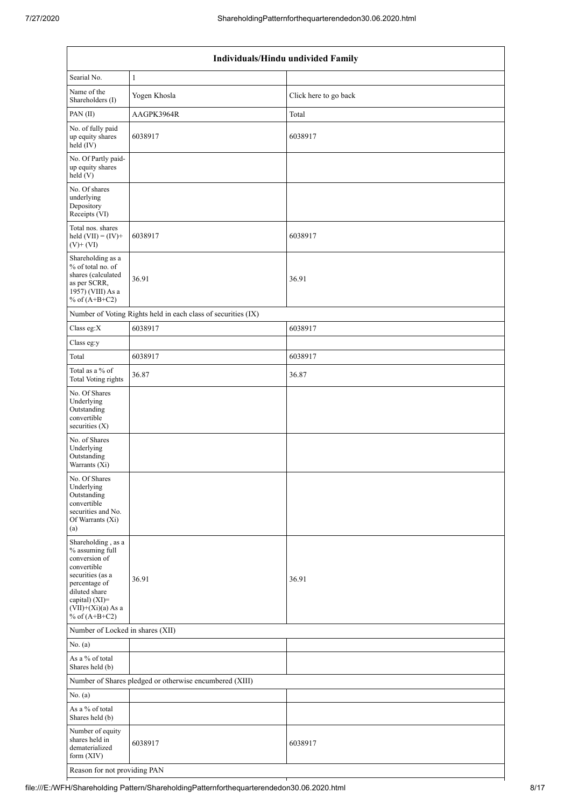| Individuals/Hindu undivided Family                                                                                                                                                       |                                                               |                       |  |  |  |  |  |
|------------------------------------------------------------------------------------------------------------------------------------------------------------------------------------------|---------------------------------------------------------------|-----------------------|--|--|--|--|--|
| Searial No.                                                                                                                                                                              | $\mathbf{1}$                                                  |                       |  |  |  |  |  |
| Name of the<br>Shareholders (I)                                                                                                                                                          | Yogen Khosla                                                  | Click here to go back |  |  |  |  |  |
| PAN (II)                                                                                                                                                                                 | AAGPK3964R                                                    | Total                 |  |  |  |  |  |
| No. of fully paid<br>up equity shares<br>held (IV)                                                                                                                                       | 6038917                                                       | 6038917               |  |  |  |  |  |
| No. Of Partly paid-<br>up equity shares<br>held (V)                                                                                                                                      |                                                               |                       |  |  |  |  |  |
| No. Of shares<br>underlying<br>Depository<br>Receipts (VI)                                                                                                                               |                                                               |                       |  |  |  |  |  |
| Total nos. shares<br>held $(VII) = (IV) +$<br>$(V) + (VI)$                                                                                                                               | 6038917                                                       | 6038917               |  |  |  |  |  |
| Shareholding as a<br>% of total no. of<br>shares (calculated<br>as per SCRR,<br>1957) (VIII) As a<br>% of $(A+B+C2)$                                                                     | 36.91                                                         | 36.91                 |  |  |  |  |  |
|                                                                                                                                                                                          | Number of Voting Rights held in each class of securities (IX) |                       |  |  |  |  |  |
| Class eg:X                                                                                                                                                                               | 6038917                                                       | 6038917               |  |  |  |  |  |
| Class eg:y                                                                                                                                                                               |                                                               |                       |  |  |  |  |  |
| Total                                                                                                                                                                                    | 6038917                                                       | 6038917               |  |  |  |  |  |
| Total as a % of<br><b>Total Voting rights</b>                                                                                                                                            | 36.87                                                         | 36.87                 |  |  |  |  |  |
| No. Of Shares<br>Underlying<br>Outstanding<br>convertible<br>securities $(X)$                                                                                                            |                                                               |                       |  |  |  |  |  |
| No. of Shares<br>Underlying<br>Outstanding<br>Warrants (Xi)                                                                                                                              |                                                               |                       |  |  |  |  |  |
| No. Of Shares<br>Underlying<br>Outstanding<br>convertible<br>securities and No.<br>Of Warrants (Xi)<br>(a)                                                                               |                                                               |                       |  |  |  |  |  |
| Shareholding, as a<br>% assuming full<br>conversion of<br>convertible<br>securities (as a<br>percentage of<br>diluted share<br>capital) (XI)=<br>$(VII)+(Xi)(a)$ As a<br>% of $(A+B+C2)$ | 36.91                                                         | 36.91                 |  |  |  |  |  |
| Number of Locked in shares (XII)                                                                                                                                                         |                                                               |                       |  |  |  |  |  |
| No. (a)                                                                                                                                                                                  |                                                               |                       |  |  |  |  |  |
| As a % of total<br>Shares held (b)                                                                                                                                                       |                                                               |                       |  |  |  |  |  |
|                                                                                                                                                                                          | Number of Shares pledged or otherwise encumbered (XIII)       |                       |  |  |  |  |  |
| No. (a)                                                                                                                                                                                  |                                                               |                       |  |  |  |  |  |
| As a % of total<br>Shares held (b)                                                                                                                                                       |                                                               |                       |  |  |  |  |  |
| Number of equity<br>shares held in<br>dematerialized<br>form (XIV)                                                                                                                       | 6038917                                                       | 6038917               |  |  |  |  |  |
|                                                                                                                                                                                          | Reason for not providing PAN                                  |                       |  |  |  |  |  |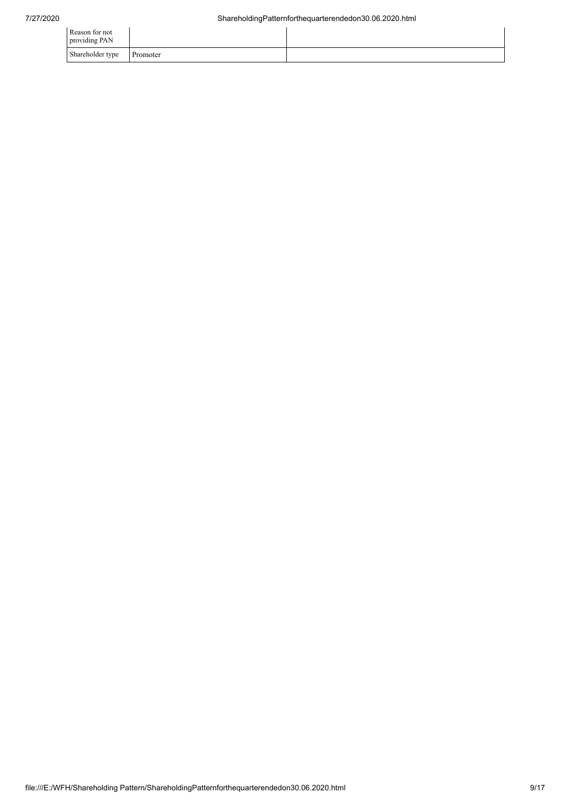| Reason for not<br>providing PAN |          |  |
|---------------------------------|----------|--|
| Shareholder type                | Promoter |  |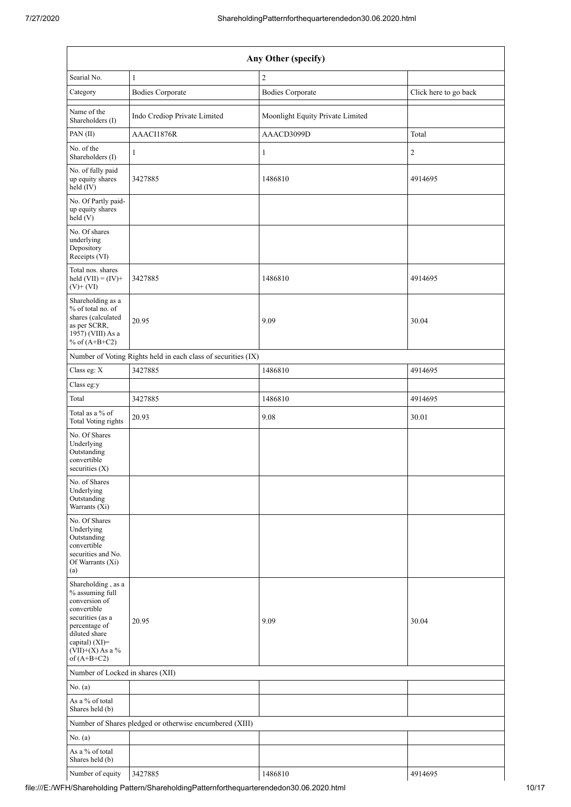| Any Other (specify)                                                                                                                                                                  |                                                               |                                  |                       |  |  |  |  |
|--------------------------------------------------------------------------------------------------------------------------------------------------------------------------------------|---------------------------------------------------------------|----------------------------------|-----------------------|--|--|--|--|
| Searial No.                                                                                                                                                                          | $\mathbf{1}$                                                  | $\overline{2}$                   |                       |  |  |  |  |
| Category                                                                                                                                                                             | <b>Bodies Corporate</b>                                       | <b>Bodies Corporate</b>          | Click here to go back |  |  |  |  |
| Name of the<br>Shareholders (I)                                                                                                                                                      | Indo Crediop Private Limited                                  | Moonlight Equity Private Limited |                       |  |  |  |  |
| PAN(II)                                                                                                                                                                              | AAACI1876R                                                    | AAACD3099D                       | Total                 |  |  |  |  |
| No. of the<br>Shareholders (I)                                                                                                                                                       | $\mathbf{1}$                                                  | $\mathbf{1}$                     | $\sqrt{2}$            |  |  |  |  |
| No. of fully paid<br>up equity shares<br>held (IV)                                                                                                                                   | 3427885                                                       | 1486810                          | 4914695               |  |  |  |  |
| No. Of Partly paid-<br>up equity shares<br>held (V)                                                                                                                                  |                                                               |                                  |                       |  |  |  |  |
| No. Of shares<br>underlying<br>Depository<br>Receipts (VI)                                                                                                                           |                                                               |                                  |                       |  |  |  |  |
| Total nos. shares<br>held $(VII) = (IV) +$<br>$(V)+(VI)$                                                                                                                             | 3427885                                                       | 1486810                          | 4914695               |  |  |  |  |
| Shareholding as a<br>% of total no. of<br>shares (calculated<br>as per SCRR,<br>1957) (VIII) As a<br>% of $(A+B+C2)$                                                                 | 20.95                                                         | 9.09                             | 30.04                 |  |  |  |  |
|                                                                                                                                                                                      | Number of Voting Rights held in each class of securities (IX) |                                  |                       |  |  |  |  |
| Class eg: X                                                                                                                                                                          | 3427885                                                       | 1486810                          | 4914695               |  |  |  |  |
| Class eg:y                                                                                                                                                                           |                                                               |                                  |                       |  |  |  |  |
| Total                                                                                                                                                                                | 3427885                                                       | 1486810                          | 4914695               |  |  |  |  |
| Total as a % of<br>Total Voting rights                                                                                                                                               | 20.93                                                         | 9.08                             | 30.01                 |  |  |  |  |
| No. Of Shares<br>Underlying<br>Outstanding<br>convertible<br>securities $(X)$                                                                                                        |                                                               |                                  |                       |  |  |  |  |
| No. of Shares<br>Underlying<br>Outstanding<br>Warrants (Xi)                                                                                                                          |                                                               |                                  |                       |  |  |  |  |
| No. Of Shares<br>Underlying<br>Outstanding<br>convertible<br>securities and No.<br>Of Warrants (Xi)<br>(a)                                                                           |                                                               |                                  |                       |  |  |  |  |
| Shareholding, as a<br>% assuming full<br>conversion of<br>convertible<br>securities (as a<br>percentage of<br>diluted share<br>capital) (XI)=<br>$(VII)+(X)$ As a %<br>of $(A+B+C2)$ | 20.95                                                         | 9.09                             | 30.04                 |  |  |  |  |
| Number of Locked in shares (XII)                                                                                                                                                     |                                                               |                                  |                       |  |  |  |  |
| No. (a)                                                                                                                                                                              |                                                               |                                  |                       |  |  |  |  |
| As a % of total<br>Shares held (b)                                                                                                                                                   |                                                               |                                  |                       |  |  |  |  |
|                                                                                                                                                                                      | Number of Shares pledged or otherwise encumbered (XIII)       |                                  |                       |  |  |  |  |
| No. (a)                                                                                                                                                                              |                                                               |                                  |                       |  |  |  |  |
| As a % of total<br>Shares held (b)                                                                                                                                                   |                                                               |                                  |                       |  |  |  |  |
| Number of equity                                                                                                                                                                     | 3427885                                                       | 1486810                          | 4914695               |  |  |  |  |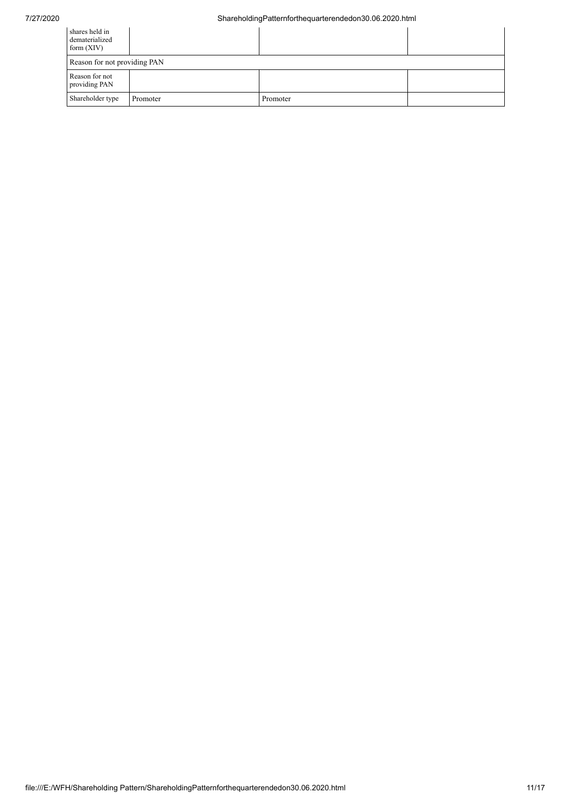## 7/27/2020 ShareholdingPatternforthequarterendedon30.06.2020.html

| shares held in<br>dematerialized<br>form $(XIV)$ |          |          |  |  |  |  |  |
|--------------------------------------------------|----------|----------|--|--|--|--|--|
| Reason for not providing PAN                     |          |          |  |  |  |  |  |
| Reason for not<br>providing PAN                  |          |          |  |  |  |  |  |
| Shareholder type                                 | Promoter | Promoter |  |  |  |  |  |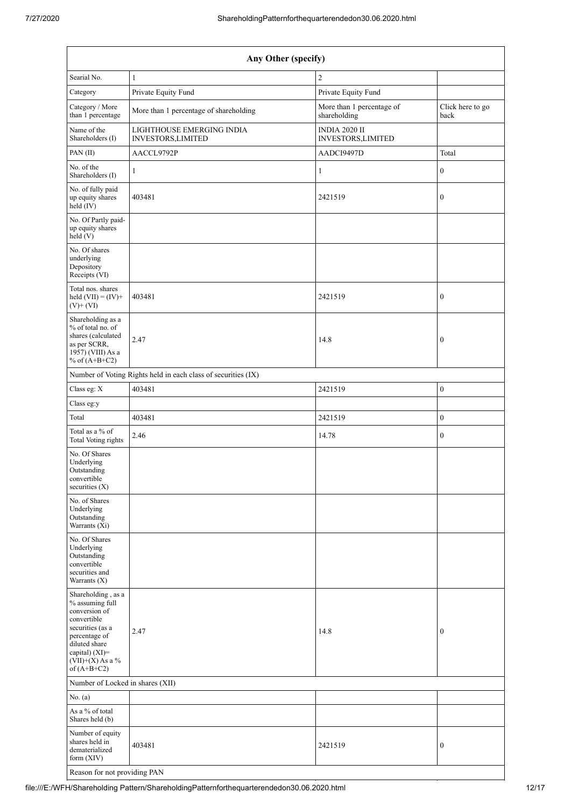| Any Other (specify)                                                                                                                                                                  |                                                               |                                            |                          |  |  |  |  |  |
|--------------------------------------------------------------------------------------------------------------------------------------------------------------------------------------|---------------------------------------------------------------|--------------------------------------------|--------------------------|--|--|--|--|--|
| Searial No.                                                                                                                                                                          | $\mathbf{1}$                                                  | $\sqrt{2}$                                 |                          |  |  |  |  |  |
| Category                                                                                                                                                                             | Private Equity Fund                                           | Private Equity Fund                        |                          |  |  |  |  |  |
| Category / More<br>than 1 percentage                                                                                                                                                 | More than 1 percentage of shareholding                        | More than 1 percentage of<br>shareholding  | Click here to go<br>back |  |  |  |  |  |
| Name of the<br>Shareholders (I)                                                                                                                                                      | LIGHTHOUSE EMERGING INDIA<br>INVESTORS, LIMITED               | <b>INDIA 2020 II</b><br>INVESTORS, LIMITED |                          |  |  |  |  |  |
| PAN(II)                                                                                                                                                                              | AACCL9792P                                                    | AADCI9497D                                 | Total                    |  |  |  |  |  |
| No. of the<br>Shareholders (I)                                                                                                                                                       | 1                                                             | $\mathbf{1}$                               | $\boldsymbol{0}$         |  |  |  |  |  |
| No. of fully paid<br>up equity shares<br>held (IV)                                                                                                                                   | 403481                                                        | 2421519                                    | $\boldsymbol{0}$         |  |  |  |  |  |
| No. Of Partly paid-<br>up equity shares<br>held (V)                                                                                                                                  |                                                               |                                            |                          |  |  |  |  |  |
| No. Of shares<br>underlying<br>Depository<br>Receipts (VI)                                                                                                                           |                                                               |                                            |                          |  |  |  |  |  |
| Total nos. shares<br>held $(VII) = (IV) +$<br>$(V)$ + $(VI)$                                                                                                                         | 403481                                                        | 2421519                                    | $\boldsymbol{0}$         |  |  |  |  |  |
| Shareholding as a<br>% of total no. of<br>shares (calculated<br>as per SCRR,<br>1957) (VIII) As a<br>% of $(A+B+C2)$                                                                 | 2.47                                                          | 14.8                                       | $\boldsymbol{0}$         |  |  |  |  |  |
|                                                                                                                                                                                      | Number of Voting Rights held in each class of securities (IX) |                                            |                          |  |  |  |  |  |
| Class eg: X                                                                                                                                                                          | 403481                                                        | 2421519                                    | $\boldsymbol{0}$         |  |  |  |  |  |
| Class eg:y                                                                                                                                                                           |                                                               |                                            |                          |  |  |  |  |  |
| Total                                                                                                                                                                                | 403481                                                        | 2421519                                    | $\boldsymbol{0}$         |  |  |  |  |  |
| Total as a % of<br><b>Total Voting rights</b>                                                                                                                                        | 2.46                                                          | 14.78                                      | $\boldsymbol{0}$         |  |  |  |  |  |
| No. Of Shares<br>Underlying<br>Outstanding<br>convertible<br>securities $(X)$                                                                                                        |                                                               |                                            |                          |  |  |  |  |  |
| No. of Shares<br>Underlying<br>Outstanding<br>Warrants (Xi)                                                                                                                          |                                                               |                                            |                          |  |  |  |  |  |
| No. Of Shares<br>Underlying<br>Outstanding<br>convertible<br>securities and<br>Warrants (X)                                                                                          |                                                               |                                            |                          |  |  |  |  |  |
| Shareholding, as a<br>% assuming full<br>conversion of<br>convertible<br>securities (as a<br>percentage of<br>diluted share<br>capital) (XI)=<br>$(VII)+(X)$ As a %<br>of $(A+B+C2)$ | 2.47                                                          | 14.8                                       | $\boldsymbol{0}$         |  |  |  |  |  |
| Number of Locked in shares (XII)                                                                                                                                                     |                                                               |                                            |                          |  |  |  |  |  |
| No. (a)                                                                                                                                                                              |                                                               |                                            |                          |  |  |  |  |  |
| As a % of total<br>Shares held (b)                                                                                                                                                   |                                                               |                                            |                          |  |  |  |  |  |
| Number of equity<br>shares held in<br>dematerialized<br>form (XIV)                                                                                                                   | 403481                                                        | 2421519                                    | $\boldsymbol{0}$         |  |  |  |  |  |
| Reason for not providing PAN                                                                                                                                                         |                                                               |                                            |                          |  |  |  |  |  |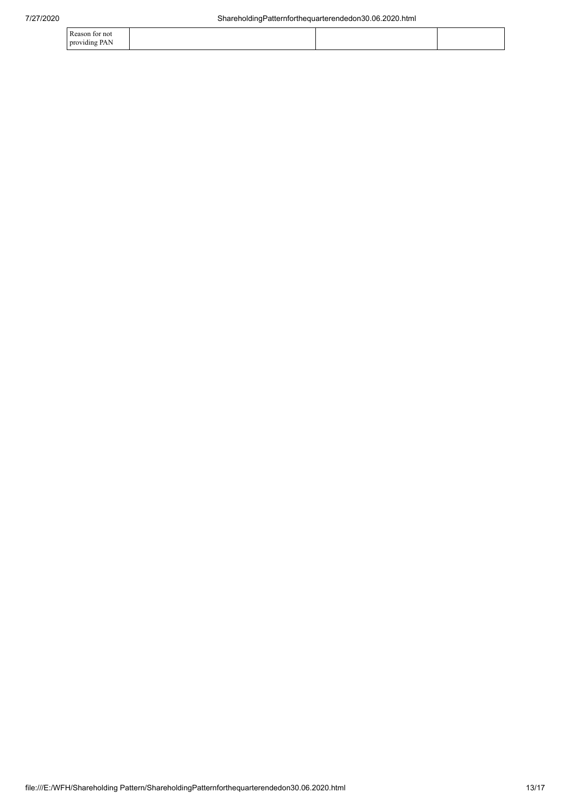| Reason for not |  |  |
|----------------|--|--|
| providing PAN  |  |  |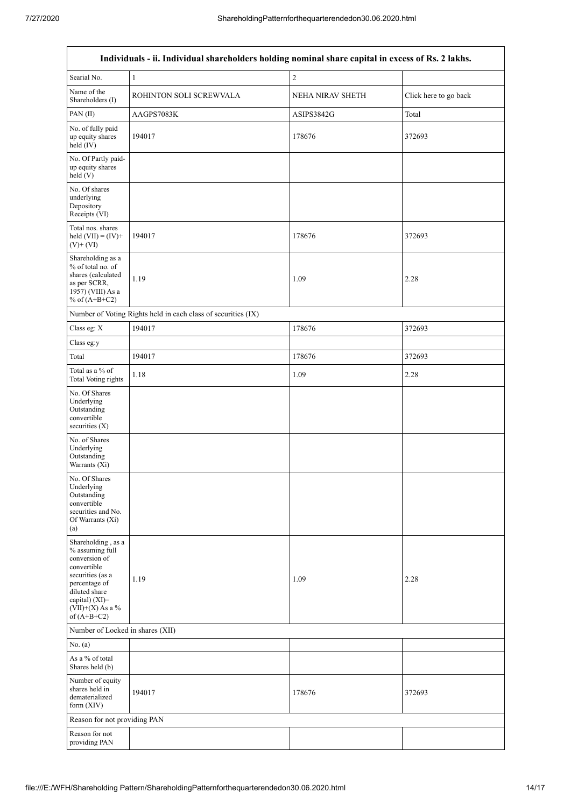$\overline{1}$ 

| Individuals - ii. Individual shareholders holding nominal share capital in excess of Rs. 2 lakhs.                                                                                    |                                                               |                  |                       |  |
|--------------------------------------------------------------------------------------------------------------------------------------------------------------------------------------|---------------------------------------------------------------|------------------|-----------------------|--|
| Searial No.                                                                                                                                                                          | $\mathbf{1}$                                                  | $\sqrt{2}$       |                       |  |
| Name of the<br>Shareholders (I)                                                                                                                                                      | ROHINTON SOLI SCREWVALA                                       | NEHA NIRAV SHETH | Click here to go back |  |
| PAN(II)                                                                                                                                                                              | AAGPS7083K                                                    | ASIPS3842G       | Total                 |  |
| No. of fully paid<br>up equity shares<br>held (IV)                                                                                                                                   | 194017                                                        | 178676           | 372693                |  |
| No. Of Partly paid-<br>up equity shares<br>held(V)                                                                                                                                   |                                                               |                  |                       |  |
| No. Of shares<br>underlying<br>Depository<br>Receipts (VI)                                                                                                                           |                                                               |                  |                       |  |
| Total nos. shares<br>held $(VII) = (IV) +$<br>$(V)$ + $(VI)$                                                                                                                         | 194017                                                        | 178676           | 372693                |  |
| Shareholding as a<br>% of total no. of<br>shares (calculated<br>as per SCRR,<br>1957) (VIII) As a<br>% of $(A+B+C2)$                                                                 | 1.19                                                          | 1.09             | 2.28                  |  |
|                                                                                                                                                                                      | Number of Voting Rights held in each class of securities (IX) |                  |                       |  |
| Class eg: X                                                                                                                                                                          | 194017                                                        | 178676           | 372693                |  |
| Class eg:y                                                                                                                                                                           |                                                               |                  |                       |  |
| Total                                                                                                                                                                                | 194017                                                        | 178676           | 372693                |  |
| Total as a % of<br><b>Total Voting rights</b>                                                                                                                                        | 1.18                                                          | 1.09             | 2.28                  |  |
| No. Of Shares<br>Underlying<br>Outstanding<br>convertible<br>securities (X)                                                                                                          |                                                               |                  |                       |  |
| No. of Shares<br>Underlying<br>Outstanding<br>Warrants (Xi)                                                                                                                          |                                                               |                  |                       |  |
| No. Of Shares<br>Underlying<br>Outstanding<br>convertible<br>securities and No.<br>Of Warrants (Xi)<br>(a)                                                                           |                                                               |                  |                       |  |
| Shareholding, as a<br>% assuming full<br>conversion of<br>convertible<br>securities (as a<br>percentage of<br>diluted share<br>capital) (XI)=<br>$(VII)+(X)$ As a %<br>of $(A+B+C2)$ | 1.19                                                          | 1.09             | 2.28                  |  |
| Number of Locked in shares (XII)                                                                                                                                                     |                                                               |                  |                       |  |
| No. (a)                                                                                                                                                                              |                                                               |                  |                       |  |
| As a % of total<br>Shares held (b)                                                                                                                                                   |                                                               |                  |                       |  |
| Number of equity<br>shares held in<br>dematerialized<br>form $(XIV)$                                                                                                                 | 194017                                                        | 178676           | 372693                |  |
| Reason for not providing PAN                                                                                                                                                         |                                                               |                  |                       |  |
| Reason for not<br>providing PAN                                                                                                                                                      |                                                               |                  |                       |  |

 $\overline{\mathsf{I}}$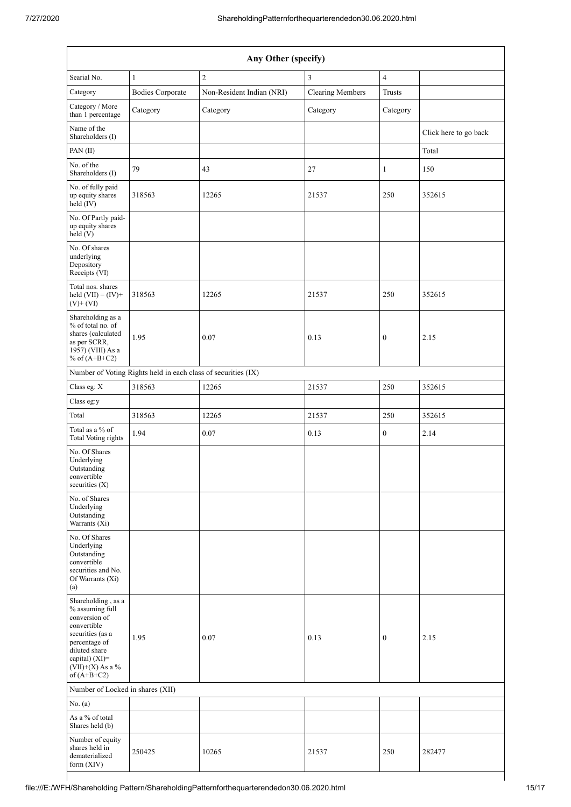| Any Other (specify)                                                                                                                                                                  |                                                               |                           |                         |                  |                       |
|--------------------------------------------------------------------------------------------------------------------------------------------------------------------------------------|---------------------------------------------------------------|---------------------------|-------------------------|------------------|-----------------------|
| Searial No.                                                                                                                                                                          | $\mathbf{1}$                                                  | $\overline{c}$            | 3                       | $\overline{4}$   |                       |
| Category                                                                                                                                                                             | <b>Bodies Corporate</b>                                       | Non-Resident Indian (NRI) | <b>Clearing Members</b> | <b>Trusts</b>    |                       |
| Category / More<br>than 1 percentage                                                                                                                                                 | Category                                                      | Category                  | Category                | Category         |                       |
| Name of the<br>Shareholders (I)                                                                                                                                                      |                                                               |                           |                         |                  | Click here to go back |
| PAN(II)                                                                                                                                                                              |                                                               |                           |                         |                  | Total                 |
| No. of the<br>Shareholders (I)                                                                                                                                                       | 79                                                            | 43                        | 27                      | $\mathbf{1}$     | 150                   |
| No. of fully paid<br>up equity shares<br>$\text{held} (IV)$                                                                                                                          | 318563                                                        | 12265                     | 21537                   | 250              | 352615                |
| No. Of Partly paid-<br>up equity shares<br>held (V)                                                                                                                                  |                                                               |                           |                         |                  |                       |
| No. Of shares<br>underlying<br>Depository<br>Receipts (VI)                                                                                                                           |                                                               |                           |                         |                  |                       |
| Total nos. shares<br>held $(VII) = (IV) +$<br>$(V)$ + $(VI)$                                                                                                                         | 318563                                                        | 12265                     | 21537                   | 250              | 352615                |
| Shareholding as a<br>% of total no. of<br>shares (calculated<br>as per SCRR,<br>1957) (VIII) As a<br>% of $(A+B+C2)$                                                                 | 1.95                                                          | 0.07                      | 0.13                    | $\boldsymbol{0}$ | 2.15                  |
|                                                                                                                                                                                      | Number of Voting Rights held in each class of securities (IX) |                           |                         |                  |                       |
| Class eg: X                                                                                                                                                                          | 318563                                                        | 12265                     | 21537                   | 250              | 352615                |
| Class eg:y                                                                                                                                                                           |                                                               |                           |                         |                  |                       |
| Total                                                                                                                                                                                | 318563                                                        | 12265                     | 21537                   | 250              | 352615                |
| Total as a % of<br><b>Total Voting rights</b>                                                                                                                                        | 1.94                                                          | 0.07                      | 0.13                    | $\boldsymbol{0}$ | 2.14                  |
| No. Of Shares<br>Underlying<br>Outstanding<br>convertible<br>securities $(X)$                                                                                                        |                                                               |                           |                         |                  |                       |
| No. of Shares<br>Underlying<br>Outstanding<br>Warrants (Xi)                                                                                                                          |                                                               |                           |                         |                  |                       |
| No. Of Shares<br>Underlying<br>Outstanding<br>convertible<br>securities and No.<br>Of Warrants (Xi)<br>(a)                                                                           |                                                               |                           |                         |                  |                       |
| Shareholding, as a<br>% assuming full<br>conversion of<br>convertible<br>securities (as a<br>percentage of<br>diluted share<br>capital) (XI)=<br>$(VII)+(X)$ As a %<br>of $(A+B+C2)$ | 1.95                                                          | 0.07                      | 0.13                    | $\boldsymbol{0}$ | 2.15                  |
| Number of Locked in shares (XII)                                                                                                                                                     |                                                               |                           |                         |                  |                       |
| No. (a)                                                                                                                                                                              |                                                               |                           |                         |                  |                       |
| As a % of total<br>Shares held (b)                                                                                                                                                   |                                                               |                           |                         |                  |                       |
| Number of equity<br>shares held in<br>dematerialized<br>form (XIV)                                                                                                                   | 250425                                                        | 10265                     | 21537                   | 250              | 282477                |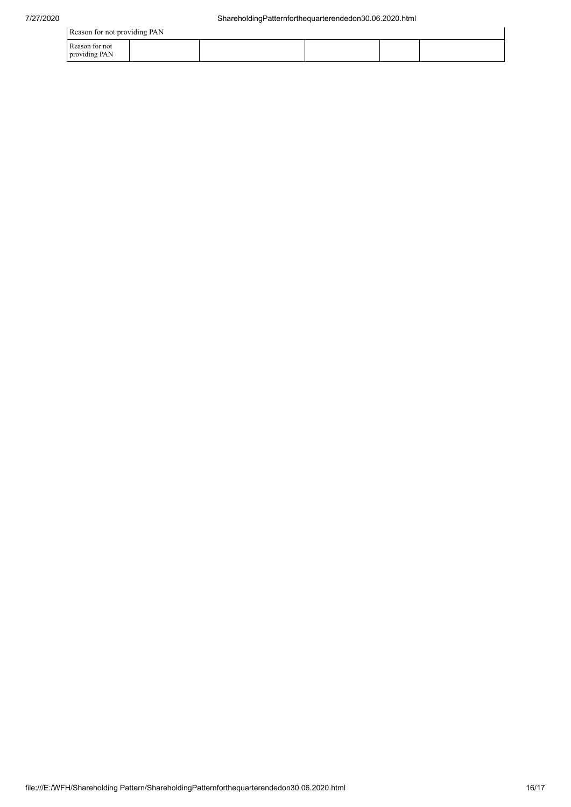Reason for not providing PAN

|                                 | Reason for not providing PAN |  |  |  |  |
|---------------------------------|------------------------------|--|--|--|--|
| Reason for not<br>providing PAN |                              |  |  |  |  |